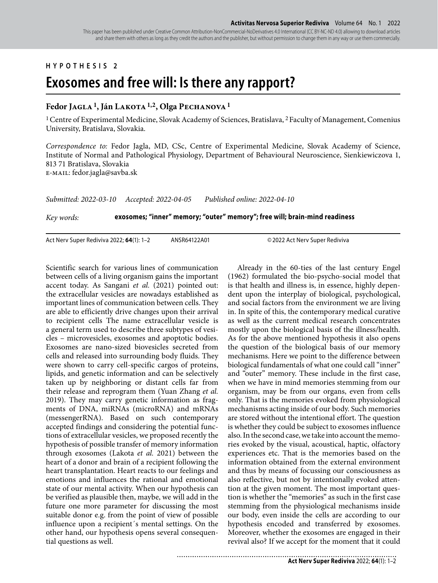## **HYPOTHESIS 2**

## **Exosomes and free will: Is there any rapport?**

## **Fedor Jagla 1, Ján Lakota 1,2, Olga Pechanova 1**

1 Centre of Experimental Medicine, Slovak Academy of Sciences, Bratislava, 2 Faculty of Management, Comenius University, Bratislava, Slovakia.

*Correspondence to:* Fedor Jagla, MD, CSc, Centre of Experimental Medicine, Slovak Academy of Science, Institute of Normal and Pathological Physiology, Department of Behavioural Neuroscience, Sienkiewiczova 1, 813 71 Bratislava, Slovakia e-mail: fedor.jagla@savba.sk

*Submitted: 2022-03-10 Accepted: 2022-04-05 Published online: 2022-04-10*

*Key words:* **exosomes; "inner" memory; "outer" memory"; free will; brain-mind readiness** 

Act Nerv Super Rediviva 2022; **64**(1): 1–2 ANSR64122A01 © 2022 Act Nerv Super Rediviva

Scientific search for various lines of communication between cells of a living organism gains the important accent today. As Sangani *et al.* (2021) pointed out: the extracellular vesicles are nowadays established as important lines of communication between cells. They are able to efficiently drive changes upon their arrival to recipient cells The name extracellular vesicle is a general term used to describe three subtypes of vesicles – microvesicles, exosomes and apoptotic bodies. Exosomes are nano-sized biovesicles secreted from cells and released into surrounding body fluids. They were shown to carry cell-specific cargos of proteins, lipids, and genetic information and can be selectively taken up by neighboring or distant cells far from their release and reprogram them (Yuan Zhang *et al.* 2019). They may carry genetic information as fragments of DNA, miRNAs (microRNA) and mRNAs (messengerRNA). Based on such contemporary accepted findings and considering the potential functions of extracellular vesicles, we proposed recently the hypothesis of possible transfer of memory information through exosomes (Lakota *et al.* 2021) between the heart of a donor and brain of a recipient following the heart transplantation. Heart reacts to our feelings and emotions and influences the rational and emotional state of our mental activity. When our hypothesis can be verified as plausible then, maybe, we will add in the future one more parameter for discussing the most suitable donor e.g. from the point of view of possible influence upon a recipient´s mental settings. On the other hand, our hypothesis opens several consequential questions as well.

Already in the 60-ties of the last century Engel (1962) formulated the bio-psycho-social model that is that health and illness is, in essence, highly dependent upon the interplay of biological, psychological, and social factors from the environment we are living in. In spite of this, the contemporary medical curative as well as the current medical research concentrates mostly upon the biological basis of the illness/health. As for the above mentioned hypothesis it also opens the question of the biological basis of our memory mechanisms. Here we point to the difference between biological fundamentals of what one could call "inner" and "outer" memory. These include in the first case, when we have in mind memories stemming from our organism, may be from our organs, even from cells only. That is the memories evoked from physiological mechanisms acting inside of our body. Such memories are stored without the intentional effort. The question is whether they could be subject to exosomes influence also. In the second case, we take into account the memories evoked by the visual, acoustical, haptic, olfactory experiences etc. That is the memories based on the information obtained from the external environment and thus by means of focussing our consciousness as also reflective, but not by intentionally evoked attention at the given moment. The most important question is whether the "memories" as such in the first case stemming from the physiological mechanisms inside our body, even inside the cells are according to our hypothesis encoded and transferred by exosomes. Moreover, whether the exosomes are engaged in their revival also? If we accept for the moment that it could